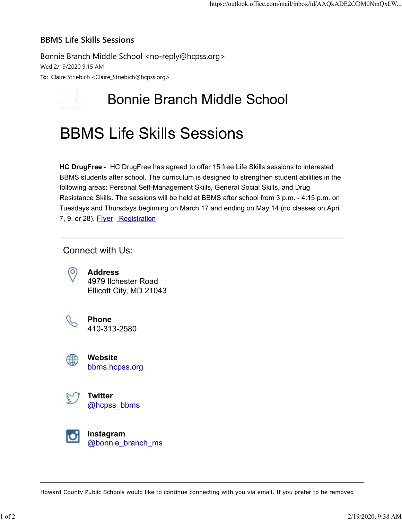## BBMS Life Skills Sessions

Bonnie Branch Middle School <no-reply@hcpss.org> Wed 2/19/2020 9:15 AM To: Claire Striebich <Claire\_Striebich@hcpss.org>

## Bonnie Branch Middle School

## BBMS Life Skills Sessions

HC DrugFree - HC DrugFree has agreed to offer 15 free Life Skills sessions to interested BBMS students after school. The curriculum is designed to strengthen student abilities in the following areas: Personal Self-Management Skills, General Social Skills, and Drug Resistance Skills. The sessions will be held at BBMS after school from 3 p.m. - 4:15 p.m. on Tuesdays and Thursdays beginning on March 17 and ending on May 14 (no classes on April 7, 9, or 28). **Flyer** Registration

Connect with Us:



Address 4979 Ilchester Road Ellicott City, MD 21043



Phone 410-313-2580



Website bbms.hcpss.org



Instagram Ю @bonnie\_branch\_ms

Howard County Public Schools would like to continue connecting with you via email. If you prefer to be removed